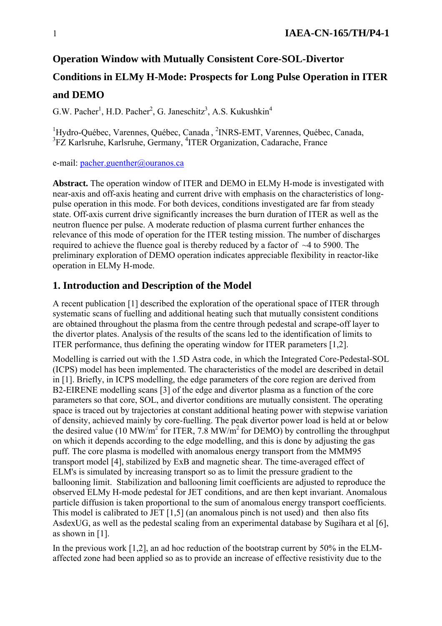#### **Operation Window with Mutually Consistent Core-SOL-Divertor**

# **Conditions in ELMy H-Mode: Prospects for Long Pulse Operation in ITER**

## **and DEMO**

G.W. Pacher<sup>1</sup>, H.D. Pacher<sup>2</sup>, G. Janeschitz<sup>3</sup>, A.S. Kukushkin<sup>4</sup>

<sup>1</sup>Hydro-Québec, Varennes, Québec, Canada, <sup>2</sup>INRS-EMT, Varennes, Québec, Canada, <sup>3</sup>FZ Karlsruhe, Karlsruhe, Germany, <sup>4</sup>ITER Organization, Cadarache, France

e-mail: pacher.guenther@ouranos.ca

**Abstract.** The operation window of ITER and DEMO in ELMy H-mode is investigated with near-axis and off-axis heating and current drive with emphasis on the characteristics of longpulse operation in this mode. For both devices, conditions investigated are far from steady state. Off-axis current drive significantly increases the burn duration of ITER as well as the neutron fluence per pulse. A moderate reduction of plasma current further enhances the relevance of this mode of operation for the ITER testing mission. The number of discharges required to achieve the fluence goal is thereby reduced by a factor of  $\sim$ 4 to 5900. The preliminary exploration of DEMO operation indicates appreciable flexibility in reactor-like operation in ELMy H-mode.

#### **1. Introduction and Description of the Model**

A recent publication [1] described the exploration of the operational space of ITER through systematic scans of fuelling and additional heating such that mutually consistent conditions are obtained throughout the plasma from the centre through pedestal and scrape-off layer to the divertor plates. Analysis of the results of the scans led to the identification of limits to ITER performance, thus defining the operating window for ITER parameters [1,2].

Modelling is carried out with the 1.5D Astra code, in which the Integrated Core-Pedestal-SOL (ICPS) model has been implemented. The characteristics of the model are described in detail in [1]. Briefly, in ICPS modelling, the edge parameters of the core region are derived from B2-EIRENE modelling scans [3] of the edge and divertor plasma as a function of the core parameters so that core, SOL, and divertor conditions are mutually consistent. The operating space is traced out by trajectories at constant additional heating power with stepwise variation of density, achieved mainly by core-fuelling. The peak divertor power load is held at or below the desired value (10 MW/m<sup>2</sup> for ITER, 7.8 MW/m<sup>2</sup> for DEMO) by controlling the throughput on which it depends according to the edge modelling, and this is done by adjusting the gas puff. The core plasma is modelled with anomalous energy transport from the MMM95 transport model [4], stabilized by ExB and magnetic shear. The time-averaged effect of ELM's is simulated by increasing transport so as to limit the pressure gradient to the ballooning limit. Stabilization and ballooning limit coefficients are adjusted to reproduce the observed ELMy H-mode pedestal for JET conditions, and are then kept invariant. Anomalous particle diffusion is taken proportional to the sum of anomalous energy transport coefficients. This model is calibrated to JET [1,5] (an anomalous pinch is not used) and then also fits AsdexUG, as well as the pedestal scaling from an experimental database by Sugihara et al [6], as shown in [1].

In the previous work [1,2], an ad hoc reduction of the bootstrap current by 50% in the ELMaffected zone had been applied so as to provide an increase of effective resistivity due to the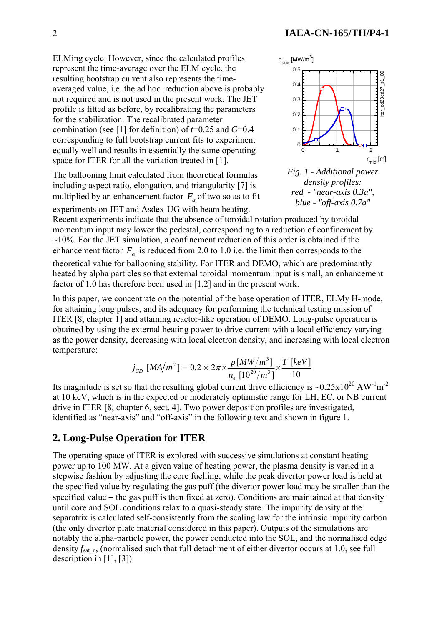ELMing cycle. However, since the calculated profiles represent the time-average over the ELM cycle, the resulting bootstrap current also represents the timeaveraged value, i.e. the ad hoc reduction above is probably not required and is not used in the present work. The JET profile is fitted as before, by recalibrating the parameters for the stabilization. The recalibrated parameter combination (see [1] for definition) of *t*=0.25 and *G*=0.4 corresponding to full bootstrap current fits to experiment equally well and results in essentially the same operating space for ITER for all the variation treated in [1].

The ballooning limit calculated from theoretical formulas including aspect ratio, elongation, and triangularity [7] is multiplied by an enhancement factor  $F_\alpha$  of two so as to fit experiments on JET and Asdex-UG with beam heating.





Recent experiments indicate that the absence of toroidal rotation produced by toroidal momentum input may lower the pedestal, corresponding to a reduction of confinement by  $\sim$ 10%. For the JET simulation, a confinement reduction of this order is obtained if the enhancement factor  $F_a$  is reduced from 2.0 to 1.0 i.e. the limit then corresponds to the theoretical value for ballooning stability. For ITER and DEMO, which are predominantly heated by alpha particles so that external toroidal momentum input is small, an enhancement factor of 1.0 has therefore been used in [1,2] and in the present work.

In this paper, we concentrate on the potential of the base operation of ITER, ELMy H-mode, for attaining long pulses, and its adequacy for performing the technical testing mission of ITER [8, chapter 1] and attaining reactor-like operation of DEMO. Long-pulse operation is obtained by using the external heating power to drive current with a local efficiency varying as the power density, decreasing with local electron density, and increasing with local electron temperature:

$$
j_{CD} \, [MA/m^2] = 0.2 \times 2\pi \times \frac{p[MW/m^3]}{n_e \, [10^{20}/m^3]} \times \frac{T \, [keV]}{10}
$$

Its magnitude is set so that the resulting global current drive efficiency is  $\sim 0.25 \times 10^{20} \text{ A W}^{-1} \text{m}^{-2}$ at 10 keV, which is in the expected or moderately optimistic range for LH, EC, or NB current drive in ITER [8, chapter 6, sect. 4]. Two power deposition profiles are investigated, identified as "near-axis" and "off-axis" in the following text and shown in figure 1.

## **2. Long-Pulse Operation for ITER**

The operating space of ITER is explored with successive simulations at constant heating power up to 100 MW. At a given value of heating power, the plasma density is varied in a stepwise fashion by adjusting the core fuelling, while the peak divertor power load is held at the specified value by regulating the gas puff (the divertor power load may be smaller than the specified value – the gas puff is then fixed at zero). Conditions are maintained at that density until core and SOL conditions relax to a quasi-steady state. The impurity density at the separatrix is calculated self-consistently from the scaling law for the intrinsic impurity carbon (the only divertor plate material considered in this paper). Outputs of the simulations are notably the alpha-particle power, the power conducted into the SOL, and the normalised edge density  $f_{\text{sat,n}}$ , (normalised such that full detachment of either divertor occurs at 1.0, see full description in [1], [3]).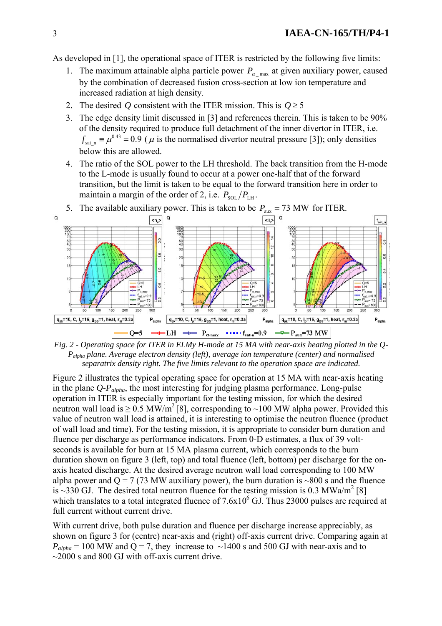As developed in [1], the operational space of ITER is restricted by the following five limits:

- 1. The maximum attainable alpha particle power  $P_{\alpha_{\text{max}}}$  at given auxiliary power, caused by the combination of decreased fusion cross-section at low ion temperature and increased radiation at high density.
- 2. The desired *Q* consistent with the ITER mission. This is  $Q \ge 5$
- 3. The edge density limit discussed in [3] and references therein. This is taken to be 90% of the density required to produce full detachment of the inner divertor in ITER, i.e.  $f_{\text{sat n}} = \mu^{0.43} = 0.9$  ( $\mu$  is the normalised divertor neutral pressure [3]); only densities below this are allowed.
- 4. The ratio of the SOL power to the LH threshold. The back transition from the H-mode to the L-mode is usually found to occur at a power one-half that of the forward transition, but the limit is taken to be equal to the forward transition here in order to maintain a margin of the order of 2, i.e.  $P_{\text{SOL}}/P_{\text{LH}}$ .



5. The available auxiliary power. This is taken to be  $P_{\text{aux}} = 73$  MW for ITER.

*Fig. 2 - Operating space for ITER in ELMy H-mode at 15 MA with near-axis heating plotted in the Q-Palpha plane. Average electron density (left), average ion temperature (center) and normalised separatrix density right. The five limits relevant to the operation space are indicated.* 

Figure 2 illustrates the typical operating space for operation at 15 MA with near-axis heating in the plane *Q-Palpha*, the most interesting for judging plasma performance. Long-pulse operation in ITER is especially important for the testing mission, for which the desired neutron wall load is  $\geq 0.5$  MW/m<sup>2</sup> [8], corresponding to ~100 MW alpha power. Provided this value of neutron wall load is attained, it is interesting to optimise the neutron fluence (product of wall load and time). For the testing mission, it is appropriate to consider burn duration and fluence per discharge as performance indicators. From 0-D estimates, a flux of 39 voltseconds is available for burn at 15 MA plasma current, which corresponds to the burn duration shown on figure 3 (left, top) and total fluence (left, bottom) per discharge for the onaxis heated discharge. At the desired average neutron wall load corresponding to 100 MW alpha power and  $Q = 7$  (73 MW auxiliary power), the burn duration is ~800 s and the fluence is ~330 GJ. The desired total neutron fluence for the testing mission is 0.3 MWa/m<sup>2</sup> [8] which translates to a total integrated fluence of  $7.6x10<sup>6</sup>$  GJ. Thus 23000 pulses are required at full current without current drive.

With current drive, both pulse duration and fluence per discharge increase appreciably, as shown on figure 3 for (centre) near-axis and (right) off-axis current drive. Comparing again at  $P_{alpha}$  = 100 MW and Q = 7, they increase to  $\sim$ 1400 s and 500 GJ with near-axis and to  $\sim$  2000 s and 800 GJ with off-axis current drive.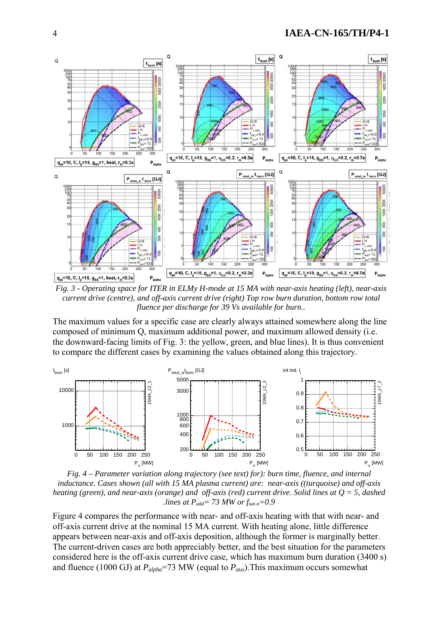

*Fig. 3 - Operating space for ITER in ELMy H-mode at 15 MA with near-axis heating (left), near-axis current drive (centre), and off-axis current drive (right) Top row burn duration, bottom row total fluence per discharge for 39 Vs available for burn..* 

The maximum values for a specific case are clearly always attained somewhere along the line composed of minimum Q, maximum additional power, and maximum allowed density (i.e. the downward-facing limits of Fig. 3: the yellow, green, and blue lines). It is thus convenient to compare the different cases by examining the values obtained along this trajectory.



*Fig. 4 – Parameter variation along trajectory (see text) for): burn time, fluence, and internal inductance. Cases shown (all with 15 MA plasma current) are: near-axis ((turquoise) and off-axis heating (green), and near-axis (orange) and off-axis (red) current drive. Solid lines at Q = 5, dashed .lines at Padd= 73 MW or fsat-n=0.9*

Figure 4 compares the performance with near- and off-axis heating with that with near- and off-axis current drive at the nominal 15 MA current. With heating alone, little difference appears between near-axis and off-axis deposition, although the former is marginally better. The current-driven cases are both appreciably better, and the best situation for the parameters considered here is the off-axis current drive case, which has maximum burn duration (3400 s) and fluence (1000 GJ) at  $P_{alpha}=73$  MW (equal to  $P_{aux}$ ). This maximum occurs somewhat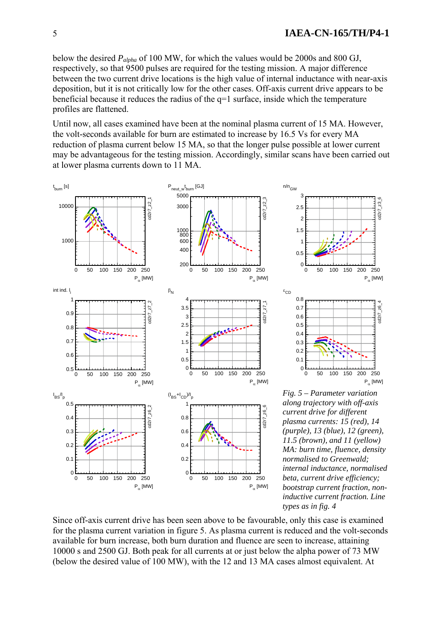below the desired *Palpha* of 100 MW, for which the values would be 2000s and 800 GJ, respectively, so that 9500 pulses are required for the testing mission. A major difference between the two current drive locations is the high value of internal inductance with near-axis deposition, but it is not critically low for the other cases. Off-axis current drive appears to be beneficial because it reduces the radius of the q=1 surface, inside which the temperature profiles are flattened.

Until now, all cases examined have been at the nominal plasma current of 15 MA. However, the volt-seconds available for burn are estimated to increase by 16.5 Vs for every MA reduction of plasma current below 15 MA, so that the longer pulse possible at lower current may be advantageous for the testing mission. Accordingly, similar scans have been carried out at lower plasma currents down to 11 MA.





*Fig. 5 – Parameter variation along trajectory with off-axis current drive for different plasma currents: 15 (red), 14 (purple), 13 (blue), 12 (green), 11.5 (brown), and 11 (yellow) MA: burn time, fluence, density normalised to Greenwald; internal inductance, normalised beta, current drive efficiency; bootstrap current fraction, noninductive current fraction. Line types as in fig. 4*

Since off-axis current drive has been seen above to be favourable, only this case is examined for the plasma current variation in figure 5. As plasma current is reduced and the volt-seconds available for burn increase, both burn duration and fluence are seen to increase, attaining 10000 s and 2500 GJ. Both peak for all currents at or just below the alpha power of 73 MW (below the desired value of 100 MW), with the 12 and 13 MA cases almost equivalent. At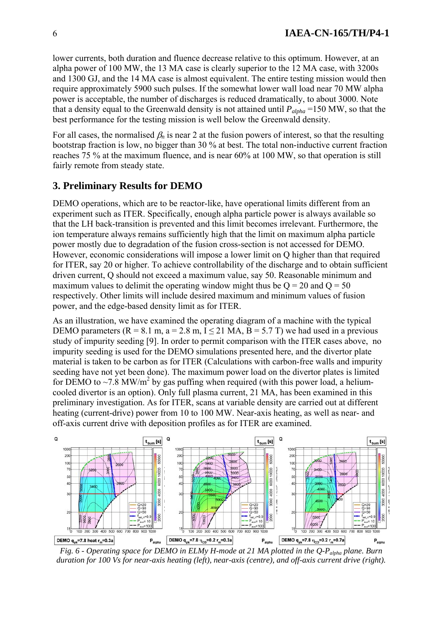lower currents, both duration and fluence decrease relative to this optimum. However, at an alpha power of 100 MW, the 13 MA case is clearly superior to the 12 MA case, with 3200s and 1300 GJ, and the 14 MA case is almost equivalent. The entire testing mission would then require approximately 5900 such pulses. If the somewhat lower wall load near 70 MW alpha power is acceptable, the number of discharges is reduced dramatically, to about 3000. Note that a density equal to the Greenwald density is not attained until  $P_{alpha}$  =150 MW, so that the best performance for the testing mission is well below the Greenwald density.

For all cases, the normalised  $\beta_n$  is near 2 at the fusion powers of interest, so that the resulting bootstrap fraction is low, no bigger than 30 % at best. The total non-inductive current fraction reaches 75 % at the maximum fluence, and is near 60% at 100 MW, so that operation is still fairly remote from steady state.

# **3. Preliminary Results for DEMO**

DEMO operations, which are to be reactor-like, have operational limits different from an experiment such as ITER. Specifically, enough alpha particle power is always available so that the LH back-transition is prevented and this limit becomes irrelevant. Furthermore, the ion temperature always remains sufficiently high that the limit on maximum alpha particle power mostly due to degradation of the fusion cross-section is not accessed for DEMO. However, economic considerations will impose a lower limit on Q higher than that required for ITER, say 20 or higher. To achieve controllability of the discharge and to obtain sufficient driven current, Q should not exceed a maximum value, say 50. Reasonable minimum and maximum values to delimit the operating window might thus be  $Q = 20$  and  $Q = 50$ respectively. Other limits will include desired maximum and minimum values of fusion power, and the edge-based density limit as for ITER.

As an illustration, we have examined the operating diagram of a machine with the typical DEMO parameters ( $R = 8.1$  m,  $a = 2.8$  m,  $I \le 21$  MA,  $B = 5.7$  T) we had used in a previous study of impurity seeding [9]. In order to permit comparison with the ITER cases above, no impurity seeding is used for the DEMO simulations presented here, and the divertor plate material is taken to be carbon as for ITER (Calculations with carbon-free walls and impurity seeding have not yet been done). The maximum power load on the divertor plates is limited for DEMO to  $\sim$  7.8 MW/m<sup>2</sup> by gas puffing when required (with this power load, a heliumcooled divertor is an option). Only full plasma current, 21 MA, has been examined in this preliminary investigation. As for ITER, scans at variable density are carried out at different heating (current-drive) power from 10 to 100 MW. Near-axis heating, as well as near- and off-axis current drive with deposition profiles as for ITER are examined.



*Fig. 6 - Operating space for DEMO in ELMy H-mode at 21 MA plotted in the Q-Palpha plane. Burn duration for 100 Vs for near-axis heating (left), near-axis (centre), and off-axis current drive (right).*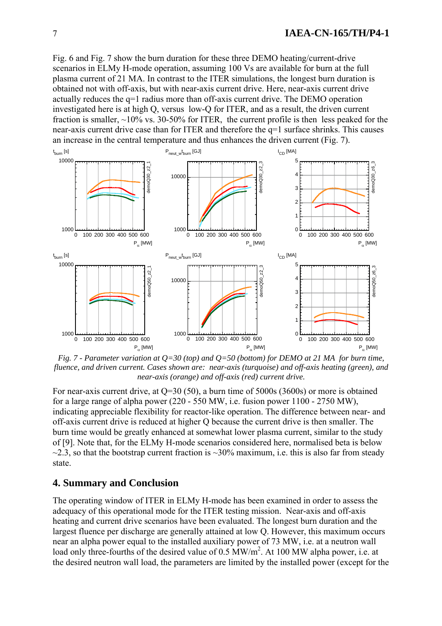Fig. 6 and Fig. 7 show the burn duration for these three DEMO heating/current-drive scenarios in ELMy H-mode operation, assuming 100 Vs are available for burn at the full plasma current of 21 MA. In contrast to the ITER simulations, the longest burn duration is obtained not with off-axis, but with near-axis current drive. Here, near-axis current drive actually reduces the q=1 radius more than off-axis current drive. The DEMO operation investigated here is at high Q, versus low-Q for ITER, and as a result, the driven current fraction is smaller,  $\sim$ 10% vs. 30-50% for ITER, the current profile is then less peaked for the near-axis current drive case than for ITER and therefore the q=1 surface shrinks. This causes an increase in the central temperature and thus enhances the driven current (Fig. 7).



*Fig. 7 - Parameter variation at Q=30 (top) and Q=50 (bottom) for DEMO at 21 MA for burn time, fluence, and driven current. Cases shown are: near-axis (turquoise) and off-axis heating (green), and near-axis (orange) and off-axis (red) current drive.*

For near-axis current drive, at Q=30 (50), a burn time of 5000s (3600s) or more is obtained for a large range of alpha power (220 - 550 MW, i.e. fusion power 1100 - 2750 MW), indicating appreciable flexibility for reactor-like operation. The difference between near- and off-axis current drive is reduced at higher Q because the current drive is then smaller. The burn time would be greatly enhanced at somewhat lower plasma current, similar to the study of [9]. Note that, for the ELMy H-mode scenarios considered here, normalised beta is below  $\approx$  2.3, so that the bootstrap current fraction is  $\approx$ 30% maximum, i.e. this is also far from steady state.

#### **4. Summary and Conclusion**

The operating window of ITER in ELMy H-mode has been examined in order to assess the adequacy of this operational mode for the ITER testing mission. Near-axis and off-axis heating and current drive scenarios have been evaluated. The longest burn duration and the largest fluence per discharge are generally attained at low Q. However, this maximum occurs near an alpha power equal to the installed auxiliary power of 73 MW, i.e. at a neutron wall load only three-fourths of the desired value of  $0.5 \text{ MW/m}^2$ . At 100 MW alpha power, i.e. at the desired neutron wall load, the parameters are limited by the installed power (except for the